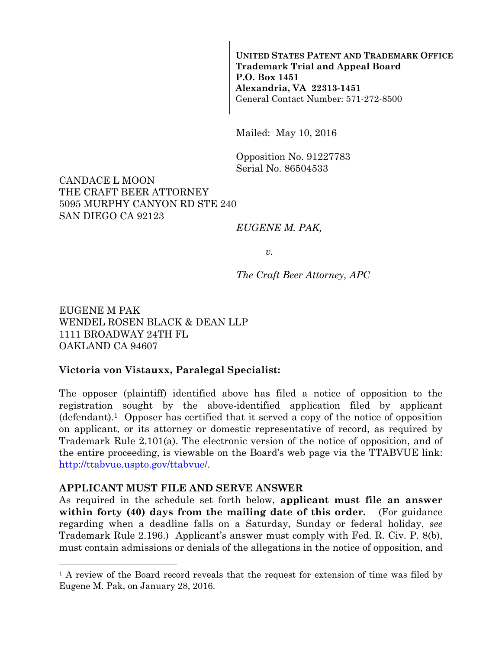**UNITED STATES PATENT AND TRADEMARK OFFICE Trademark Trial and Appeal Board P.O. Box 1451 Alexandria, VA 22313-1451**  General Contact Number: 571-272-8500

Mailed: May 10, 2016

Opposition No. 91227783 Serial No. 86504533

#### CANDACE L MOON THE CRAFT BEER ATTORNEY 5095 MURPHY CANYON RD STE 240 SAN DIEGO CA 92123

#### *EUGENE M. PAK,*

*v.* 

*The Craft Beer Attorney, APC* 

EUGENE M PAK WENDEL ROSEN BLACK & DEAN LLP 1111 BROADWAY 24TH FL OAKLAND CA 94607

#### **Victoria von Vistauxx, Paralegal Specialist:**

The opposer (plaintiff) identified above has filed a notice of opposition to the registration sought by the above-identified application filed by applicant (defendant).1 Opposer has certified that it served a copy of the notice of opposition on applicant, or its attorney or domestic representative of record, as required by Trademark Rule 2.101(a). The electronic version of the notice of opposition, and of the entire proceeding, is viewable on the Board's web page via the TTABVUE link: http://ttabvue.uspto.gov/ttabvue/.

#### **APPLICANT MUST FILE AND SERVE ANSWER**

 $\overline{a}$ 

As required in the schedule set forth below, **applicant must file an answer within forty (40) days from the mailing date of this order.** (For guidance regarding when a deadline falls on a Saturday, Sunday or federal holiday, *see* Trademark Rule 2.196.) Applicant's answer must comply with Fed. R. Civ. P. 8(b), must contain admissions or denials of the allegations in the notice of opposition, and

<sup>&</sup>lt;sup>1</sup> A review of the Board record reveals that the request for extension of time was filed by Eugene M. Pak, on January 28, 2016.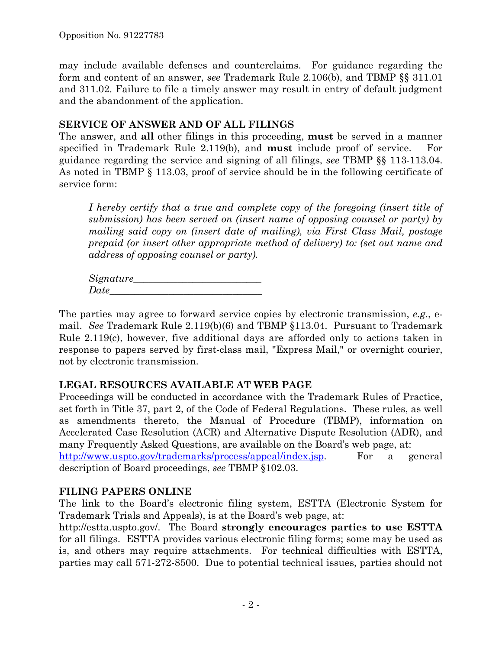may include available defenses and counterclaims. For guidance regarding the form and content of an answer, *see* Trademark Rule 2.106(b), and TBMP §§ 311.01 and 311.02. Failure to file a timely answer may result in entry of default judgment and the abandonment of the application.

## **SERVICE OF ANSWER AND OF ALL FILINGS**

The answer, and **all** other filings in this proceeding, **must** be served in a manner specified in Trademark Rule 2.119(b), and **must** include proof of service. For guidance regarding the service and signing of all filings, *see* TBMP §§ 113-113.04. As noted in TBMP § 113.03, proof of service should be in the following certificate of service form:

*I hereby certify that a true and complete copy of the foregoing (insert title of submission) has been served on (insert name of opposing counsel or party) by mailing said copy on (insert date of mailing), via First Class Mail, postage prepaid (or insert other appropriate method of delivery) to: (set out name and address of opposing counsel or party).* 

*Signature\_\_\_\_\_\_\_\_\_\_\_\_\_\_\_\_\_\_\_\_\_\_\_\_\_\_ Date\_\_\_\_\_\_\_\_\_\_\_\_\_\_\_\_\_\_\_\_\_\_\_\_\_\_\_\_\_\_\_* 

The parties may agree to forward service copies by electronic transmission, *e.g*., email. *See* Trademark Rule 2.119(b)(6) and TBMP §113.04. Pursuant to Trademark Rule 2.119(c), however, five additional days are afforded only to actions taken in response to papers served by first-class mail, "Express Mail," or overnight courier, not by electronic transmission.

# **LEGAL RESOURCES AVAILABLE AT WEB PAGE**

Proceedings will be conducted in accordance with the Trademark Rules of Practice, set forth in Title 37, part 2, of the Code of Federal Regulations.These rules, as well as amendments thereto, the Manual of Procedure (TBMP), information on Accelerated Case Resolution (ACR) and Alternative Dispute Resolution (ADR), and many Frequently Asked Questions, are available on the Board's web page, at: http://www.uspto.gov/trademarks/process/appeal/index.jsp. For a general description of Board proceedings, *see* TBMP §102.03.

# **FILING PAPERS ONLINE**

The link to the Board's electronic filing system, ESTTA (Electronic System for Trademark Trials and Appeals), is at the Board's web page, at:

http://estta.uspto.gov/. The Board **strongly encourages parties to use ESTTA** for all filings. ESTTA provides various electronic filing forms; some may be used as is, and others may require attachments. For technical difficulties with ESTTA, parties may call 571-272-8500. Due to potential technical issues, parties should not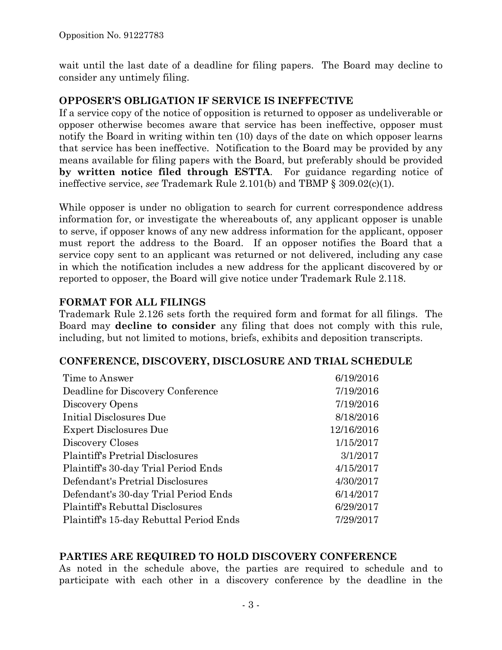wait until the last date of a deadline for filing papers. The Board may decline to consider any untimely filing.

## **OPPOSER'S OBLIGATION IF SERVICE IS INEFFECTIVE**

If a service copy of the notice of opposition is returned to opposer as undeliverable or opposer otherwise becomes aware that service has been ineffective, opposer must notify the Board in writing within ten (10) days of the date on which opposer learns that service has been ineffective. Notification to the Board may be provided by any means available for filing papers with the Board, but preferably should be provided **by written notice filed through ESTTA**. For guidance regarding notice of ineffective service, *see* Trademark Rule 2.101(b) and TBMP § 309.02(c)(1).

While opposer is under no obligation to search for current correspondence address information for, or investigate the whereabouts of, any applicant opposer is unable to serve, if opposer knows of any new address information for the applicant, opposer must report the address to the Board. If an opposer notifies the Board that a service copy sent to an applicant was returned or not delivered, including any case in which the notification includes a new address for the applicant discovered by or reported to opposer, the Board will give notice under Trademark Rule 2.118.

## **FORMAT FOR ALL FILINGS**

Trademark Rule 2.126 sets forth the required form and format for all filings. The Board may **decline to consider** any filing that does not comply with this rule, including, but not limited to motions, briefs, exhibits and deposition transcripts.

## **CONFERENCE, DISCOVERY, DISCLOSURE AND TRIAL SCHEDULE**

| Time to Answer                          | 6/19/2016  |
|-----------------------------------------|------------|
| Deadline for Discovery Conference       | 7/19/2016  |
| Discovery Opens                         | 7/19/2016  |
| Initial Disclosures Due                 | 8/18/2016  |
| <b>Expert Disclosures Due</b>           | 12/16/2016 |
| Discovery Closes                        | 1/15/2017  |
| <b>Plaintiff's Pretrial Disclosures</b> | 3/1/2017   |
| Plaintiff's 30-day Trial Period Ends    | 4/15/2017  |
| Defendant's Pretrial Disclosures        | 4/30/2017  |
| Defendant's 30-day Trial Period Ends    | 6/14/2017  |
| Plaintiff's Rebuttal Disclosures        | 6/29/2017  |
| Plaintiff's 15-day Rebuttal Period Ends | 7/29/2017  |

## **PARTIES ARE REQUIRED TO HOLD DISCOVERY CONFERENCE**

As noted in the schedule above, the parties are required to schedule and to participate with each other in a discovery conference by the deadline in the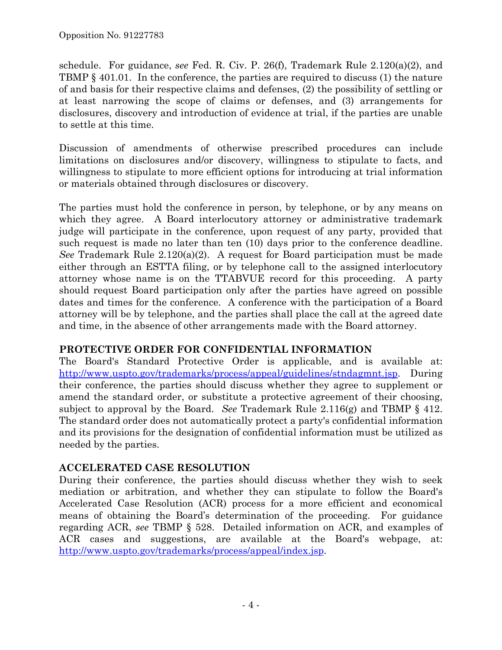schedule. For guidance, *see* Fed. R. Civ. P. 26(f), Trademark Rule 2.120(a)(2), and TBMP § 401.01. In the conference, the parties are required to discuss (1) the nature of and basis for their respective claims and defenses, (2) the possibility of settling or at least narrowing the scope of claims or defenses, and (3) arrangements for disclosures, discovery and introduction of evidence at trial, if the parties are unable to settle at this time.

Discussion of amendments of otherwise prescribed procedures can include limitations on disclosures and/or discovery, willingness to stipulate to facts, and willingness to stipulate to more efficient options for introducing at trial information or materials obtained through disclosures or discovery.

The parties must hold the conference in person, by telephone, or by any means on which they agree. A Board interlocutory attorney or administrative trademark judge will participate in the conference, upon request of any party, provided that such request is made no later than ten (10) days prior to the conference deadline. *See* Trademark Rule 2.120(a)(2). A request for Board participation must be made either through an ESTTA filing, or by telephone call to the assigned interlocutory attorney whose name is on the TTABVUE record for this proceeding. A party should request Board participation only after the parties have agreed on possible dates and times for the conference. A conference with the participation of a Board attorney will be by telephone, and the parties shall place the call at the agreed date and time, in the absence of other arrangements made with the Board attorney.

# **PROTECTIVE ORDER FOR CONFIDENTIAL INFORMATION**

The Board's Standard Protective Order is applicable, and is available at: http://www.uspto.gov/trademarks/process/appeal/guidelines/stndagmnt.jsp. During their conference, the parties should discuss whether they agree to supplement or amend the standard order, or substitute a protective agreement of their choosing, subject to approval by the Board. *See* Trademark Rule 2.116(g) and TBMP § 412. The standard order does not automatically protect a party's confidential information and its provisions for the designation of confidential information must be utilized as needed by the parties.

## **ACCELERATED CASE RESOLUTION**

During their conference, the parties should discuss whether they wish to seek mediation or arbitration, and whether they can stipulate to follow the Board's Accelerated Case Resolution (ACR) process for a more efficient and economical means of obtaining the Board's determination of the proceeding. For guidance regarding ACR, *see* TBMP § 528. Detailed information on ACR, and examples of ACR cases and suggestions, are available at the Board's webpage, at: http://www.uspto.gov/trademarks/process/appeal/index.jsp.